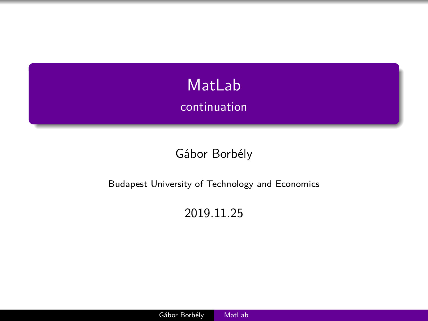<span id="page-0-0"></span>

#### Gábor Borbély

#### Budapest University of Technology and Economics

#### 2019.11.25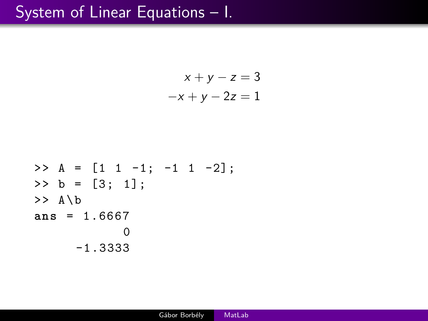#### System of Linear Equations – I.

$$
x + y - z = 3
$$
  
-x + y - 2z = 1

>> A = 
$$
\begin{bmatrix} 1 & 1 & -1 \\ 1 & -1 & 1 & -2 \end{bmatrix}
$$
;  
>> b =  $\begin{bmatrix} 3 \\ 1 \\ 3 \end{bmatrix}$ ;  
>> A\ b  
ans = 1.6667  
0  
-1.3333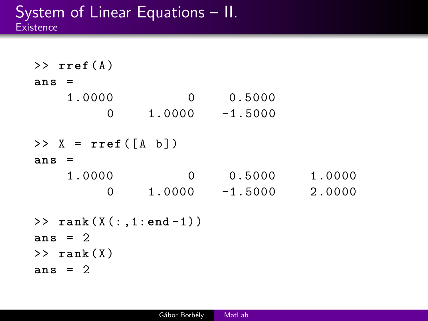$\rightarrow$   $\texttt{rref}(A)$ **ans** = 1.0000 0 0.5000 0 1.0000 -1.5000  $>> X = rref([A b])$ **ans** = 1.0000 0 0.5000 1.0000 0 1.0000 -1.5000 2.0000 >> **rank** ( X (: ,1: **end** -1)) **ans** = 2  $\gg$  rank $(X)$ **ans** = 2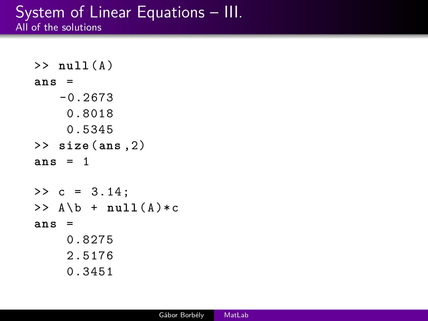#### System of Linear Equations – III. All of the solutions

```
\gg null (A)ans =
   -0.2673
     0.8018
     0.5345
>> size (ans ,2)
ans = 1
>> c = 3.14;\Rightarrow A \b + null (A) * cans =
    0.8275
    2.5176
     0.3451
```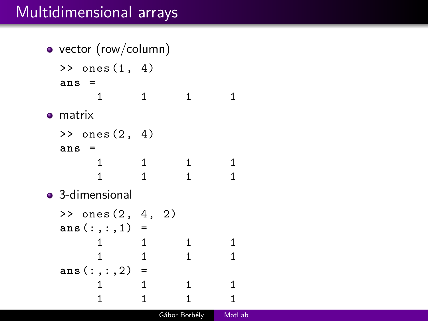## Multidimensional arrays

```
• vector (row/column)
 \gg ones (1, 4)ans =
     1 1 1 1
o matrix
 > ones (2, 4)ans =
     1 1 1 1
     1 1 1 1
• 3-dimensional
 \gg ones (2, 4, 2)ans(:,:,1) =1 1 1 1
     1 1 1 1
 ans(:,:,2) =
     1 1 1 1
     1 1 1 1
```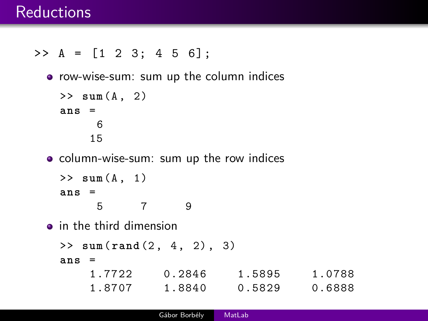#### **Reductions**

>> A = [1 2 3; 4 5 6];

row-wise-sum: sum up the column indices

```
>> sum(A , 2)
ans =
     6
    15
```
column-wise-sum: sum up the row indices

```
>> sum(A , 1)
ans =
    5 7 9
```
**o** in the third dimension

```
>> sum( rand (2 , 4 , 2) , 3)
```
**ans** =

| 1.7722 | 0.2846 | 1.5895 | 1.0788 |
|--------|--------|--------|--------|
| 1.8707 | 1.8840 | 0.5829 | 0.6888 |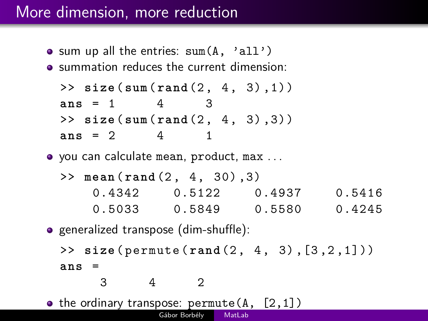## More dimension, more reduction

- $\bullet$  sum up all the entries: sum $(A, 'all')$
- summation reduces the current dimension:

>> **size** (**sum**( **rand** (2 , 4 , 3) ,1)) **ans** = 1 4 3 >> **size** (**sum**( **rand** (2 , 4 , 3) ,3)) **ans** = 2 4 1

- you can calculate mean, product, max . . .
	- >> **mean** ( **rand** (2 , 4 , 30) ,3) 0.4342 0.5122 0.4937 0.5416 0.5033 0.5849 0.5580 0.4245
- **•** generalized transpose (dim-shuffle): >> **size** ( permute ( **rand** (2 , 4 , 3) ,[3 ,2 ,1])) **ans** = 3 4 2
- the ordinary transpose:  $\text{permute}(A, [2,1])$ Gábor Borbély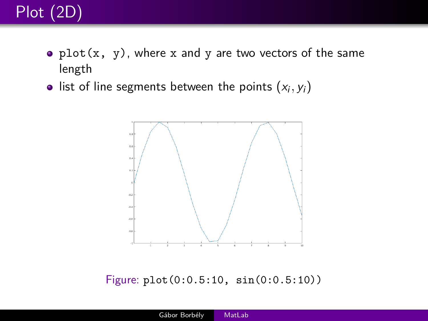

- $plot(x, y)$ , where x and y are two vectors of the same length
- list of line segments between the points  $(x_i, y_i)$



Figure: plot(0:0.5:10, sin(0:0.5:10))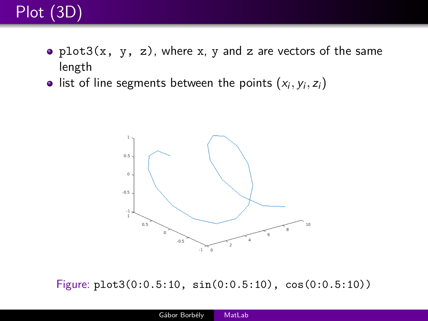# Plot (3D)

- plot3(x, y, z), where x, y and z are vectors of the same length
- $\textsf{list of line segments between the points } (x_i, y_i, z_i)$



Figure: plot3(0:0.5:10, sin(0:0.5:10), cos(0:0.5:10))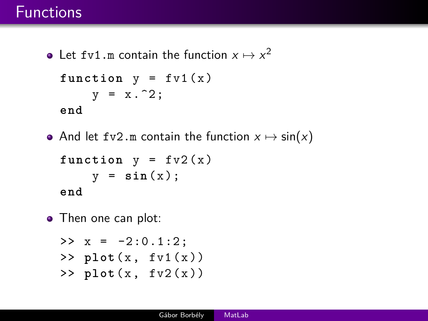### Functions

- Let fv1.m contain the function  $x \mapsto x^2$ **function**  $y = f v 1(x)$  $y = x.^2;$ **end**
- And let fv2.m contain the function  $x \mapsto \sin(x)$

```
function y = f v 2(x)y = sin(x);
end
```
• Then one can plot:

```
>> x = -2:0.1:2:\gg plot(x, fv1(x))
\frac{1}{x}, \frac{1}{x}, \frac{1}{x}, \frac{1}{x})
```